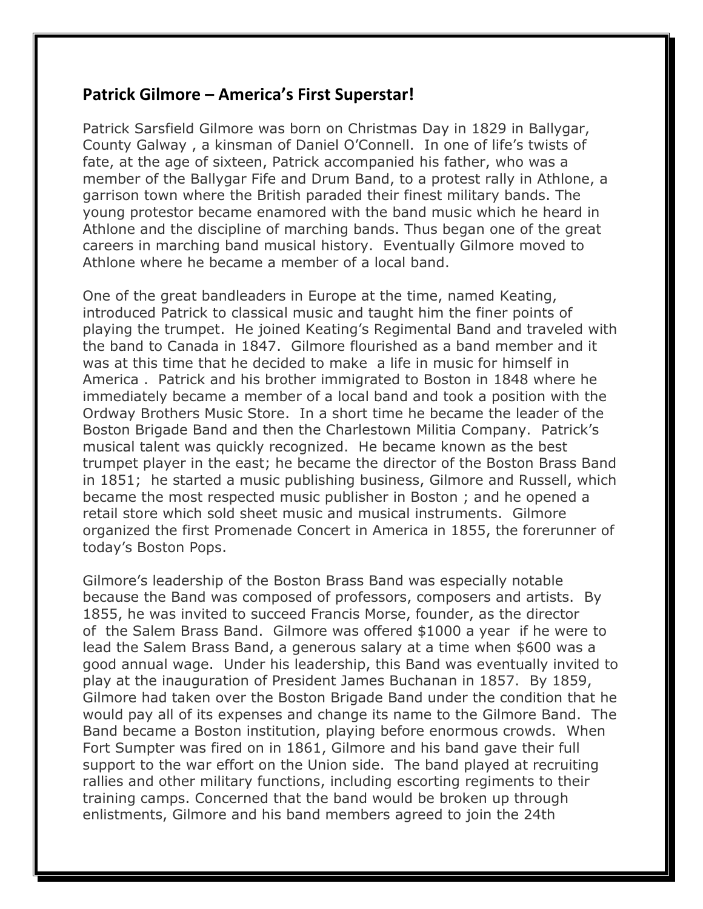## **Patrick Gilmore – America's First Superstar!**

Patrick Sarsfield Gilmore was born on Christmas Day in 1829 in Ballygar, County Galway , a kinsman of Daniel O'Connell. In one of life's twists of fate, at the age of sixteen, Patrick accompanied his father, who was a member of the Ballygar Fife and Drum Band, to a protest rally in Athlone, a garrison town where the British paraded their finest military bands. The young protestor became enamored with the band music which he heard in Athlone and the discipline of marching bands. Thus began one of the great careers in marching band musical history. Eventually Gilmore moved to Athlone where he became a member of a local band.

One of the great bandleaders in Europe at the time, named Keating, introduced Patrick to classical music and taught him the finer points of playing the trumpet. He joined Keating's Regimental Band and traveled with the band to Canada in 1847. Gilmore flourished as a band member and it was at this time that he decided to make a life in music for himself in America . Patrick and his brother immigrated to Boston in 1848 where he immediately became a member of a local band and took a position with the Ordway Brothers Music Store. In a short time he became the leader of the Boston Brigade Band and then the Charlestown Militia Company. Patrick's musical talent was quickly recognized. He became known as the best trumpet player in the east; he became the director of the Boston Brass Band in 1851; he started a music publishing business, Gilmore and Russell, which became the most respected music publisher in Boston ; and he opened a retail store which sold sheet music and musical instruments. Gilmore organized the first Promenade Concert in America in 1855, the forerunner of today's Boston Pops.

Gilmore's leadership of the Boston Brass Band was especially notable because the Band was composed of professors, composers and artists. By 1855, he was invited to succeed Francis Morse, founder, as the director of the Salem Brass Band. Gilmore was offered \$1000 a year if he were to lead the Salem Brass Band, a generous salary at a time when \$600 was a good annual wage. Under his leadership, this Band was eventually invited to play at the inauguration of President James Buchanan in 1857. By 1859, Gilmore had taken over the Boston Brigade Band under the condition that he would pay all of its expenses and change its name to the Gilmore Band. The Band became a Boston institution, playing before enormous crowds. When Fort Sumpter was fired on in 1861, Gilmore and his band gave their full support to the war effort on the Union side. The band played at recruiting rallies and other military functions, including escorting regiments to their training camps. Concerned that the band would be broken up through enlistments, Gilmore and his band members agreed to join the 24th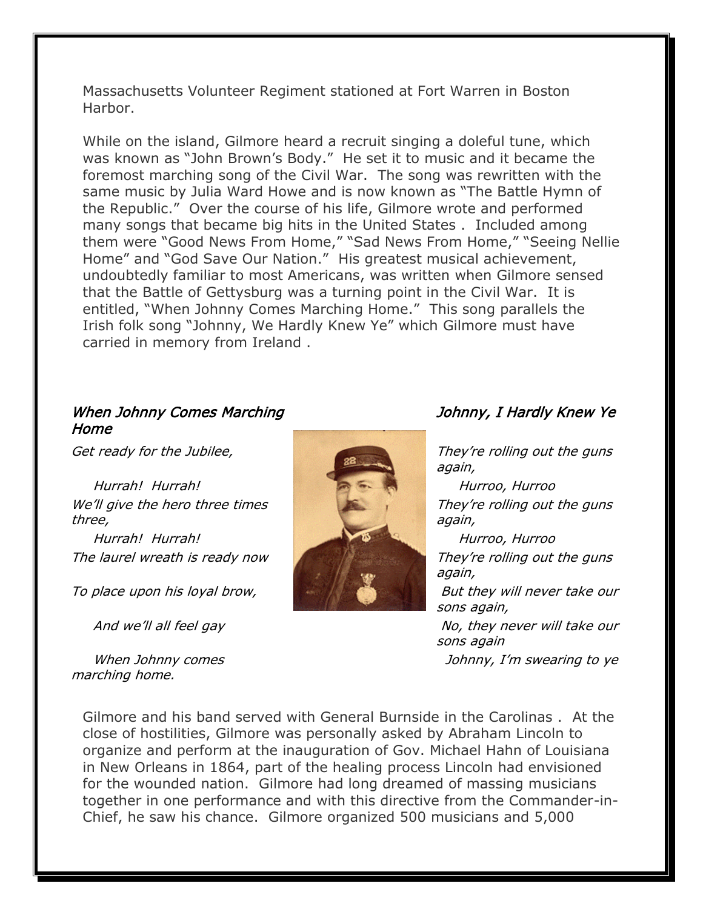Massachusetts Volunteer Regiment stationed at Fort Warren in Boston Harbor.

While on the island, Gilmore heard a recruit singing a doleful tune, which was known as "John Brown's Body." He set it to music and it became the foremost marching song of the Civil War. The song was rewritten with the same music by Julia Ward Howe and is now known as "The Battle Hymn of the Republic." Over the course of his life, Gilmore wrote and performed many songs that became big hits in the United States . Included among them were "Good News From Home," "Sad News From Home," "Seeing Nellie Home" and "God Save Our Nation." His greatest musical achievement, undoubtedly familiar to most Americans, was written when Gilmore sensed that the Battle of Gettysburg was a turning point in the Civil War. It is entitled, "When Johnny Comes Marching Home." This song parallels the Irish folk song "Johnny, We Hardly Knew Ye" which Gilmore must have carried in memory from Ireland .

## When Johnny Comes Marching Home

We'll give the hero three times three,

The laurel wreath is ready now They're rolling out the guns

To place upon his loyal brow, **But they will never take our** 

 When Johnny comes marching home.



Johnny, I Hardly Knew Ye

Get ready for the Jubilee, They're rolling out the guns again,

> They're rolling out the guns again,

> again,

sons again,

And we'll all feel gay Notington they never will take our sons again

Johnny, I'm swearing to ye

Gilmore and his band served with General Burnside in the Carolinas . At the close of hostilities, Gilmore was personally asked by Abraham Lincoln to organize and perform at the inauguration of Gov. Michael Hahn of Louisiana in New Orleans in 1864, part of the healing process Lincoln had envisioned for the wounded nation. Gilmore had long dreamed of massing musicians together in one performance and with this directive from the Commander-in-Chief, he saw his chance. Gilmore organized 500 musicians and 5,000